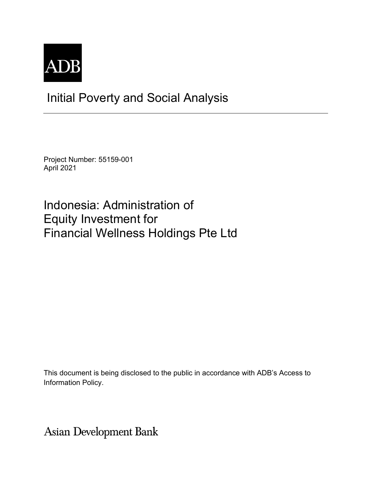

# Initial Poverty and Social Analysis

Project Number: 55159-001 April 2021

Indonesia: Administration of Equity Investment for Financial Wellness Holdings Pte Ltd

This document is being disclosed to the public in accordance with ADB's Access to Information Policy.

**Asian Development Bank**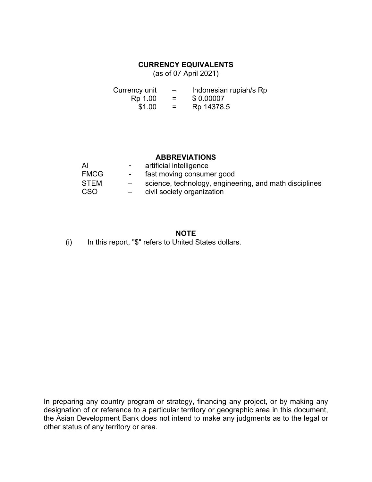### **CURRENCY EQUIVALENTS**

(as of 07 April 2021)

| Currency unit | $\overline{\phantom{0}}$ | Indonesian rupiah/s Rp |
|---------------|--------------------------|------------------------|
| Rp 1.00       | $=$                      | \$0.00007              |
| \$1.00        | $=$ $-$                  | Rp 14378.5             |

### **ABBREVIATIONS**

| AI          | $\sim 100$ km s $^{-1}$ | artificial intelligence                                |
|-------------|-------------------------|--------------------------------------------------------|
| <b>FMCG</b> | $\sim$ 100 $\mu$        | fast moving consumer good                              |
| <b>STEM</b> |                         | science, technology, engineering, and math disciplines |
| <b>CSO</b>  |                         | civil society organization                             |

#### **NOTE**

(i) In this report, "\$" refers to United States dollars.

In preparing any country program or strategy, financing any project, or by making any designation of or reference to a particular territory or geographic area in this document, the Asian Development Bank does not intend to make any judgments as to the legal or other status of any territory or area.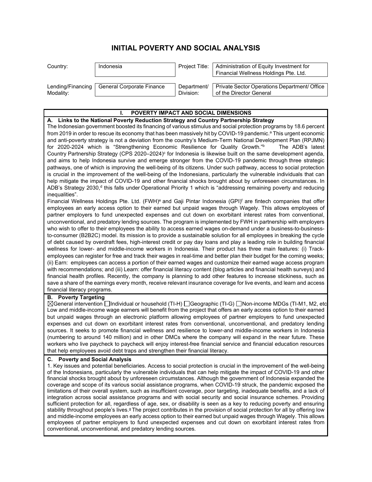## **INITIAL POVERTY AND SOCIAL ANALYSIS**

| Country:  | Indonesia                                     | Project Title:           | Administration of Equity Investment for<br>Financial Wellness Holdings Pte. Ltd. |
|-----------|-----------------------------------------------|--------------------------|----------------------------------------------------------------------------------|
| Modality: | Lending/Financing   General Corporate Finance | Department/<br>Division: | Private Sector Operations Department/ Office<br>of the Director General          |

| POVERTY IMPACT AND SOCIAL DIMENSIONS                                                                                                                                                                                                                                                                                                                                                                                                                                                                                                                                                                                                                                                                                                                                                                                                                                                                                                                                                                                                                                                                                                                                                                                                                                                                                                                                                                                                                                                                                                                                                                                                           |
|------------------------------------------------------------------------------------------------------------------------------------------------------------------------------------------------------------------------------------------------------------------------------------------------------------------------------------------------------------------------------------------------------------------------------------------------------------------------------------------------------------------------------------------------------------------------------------------------------------------------------------------------------------------------------------------------------------------------------------------------------------------------------------------------------------------------------------------------------------------------------------------------------------------------------------------------------------------------------------------------------------------------------------------------------------------------------------------------------------------------------------------------------------------------------------------------------------------------------------------------------------------------------------------------------------------------------------------------------------------------------------------------------------------------------------------------------------------------------------------------------------------------------------------------------------------------------------------------------------------------------------------------|
| A. Links to the National Poverty Reduction Strategy and Country Partnership Strategy                                                                                                                                                                                                                                                                                                                                                                                                                                                                                                                                                                                                                                                                                                                                                                                                                                                                                                                                                                                                                                                                                                                                                                                                                                                                                                                                                                                                                                                                                                                                                           |
| The Indonesian government boosted its financing of various stimulus and social protection programs by 18.6 percent<br>from 2019 in order to rescue its economy that has been massively hit by COVID-19 pandemic. <sup>a</sup> This urgent economic<br>and anti-poverty strategy is not a deviation from the country's Medium-Term National Development Plan (RPJMN)<br>for 2020-2024 which is "Strengthening Economic Resilience for Quality Growth."b<br>The ADB's latest<br>Country Partnership Strategy (CPS 2020–2024) <sup>c</sup> for Indonesia is likewise built on the same development agenda,<br>and aims to help Indonesia survive and emerge stronger from the COVID-19 pandemic through three strategic<br>pathways, one of which is improving the well-being of its citizens. Under such pathway, access to social protection<br>is crucial in the improvement of the well-being of the Indonesians, particularly the vulnerable individuals that can<br>help mitigate the impact of COVID-19 and other financial shocks brought about by unforeseen circumstances. In<br>ADB's Strategy 2030, <sup>d</sup> this falls under Operational Priority 1 which is "addressing remaining poverty and reducing                                                                                                                                                                                                                                                                                                                                                                                                                          |
| inequalities".<br>Financial Wellness Holdings Pte. Ltd. (FWH) <sup>e</sup> and Gaji Pintar Indonesia (GPI) <sup>f</sup> are fintech companies that offer<br>employees an early access option to their earned but unpaid wages through Wagely. This allows employees of<br>partner employers to fund unexpected expenses and cut down on exorbitant interest rates from conventional,<br>unconventional, and predatory lending sources. The program is implemented by FWH in partnership with employers<br>who wish to offer to their employees the ability to access earned wages on-demand under a business-to-business-<br>to-consumer (B2B2C) model. Its mission is to provide a sustainable solution for all employees in breaking the cycle<br>of debt caused by overdraft fees, high-interest credit or pay day loans and play a leading role in building financial<br>wellness for lower- and middle-income workers in Indonesia. Their product has three main features: (i) Track-<br>employees can register for free and track their wages in real-time and better plan their budget for the coming weeks;<br>(ii) Earn: employees can access a portion of their earned wages and customize their earned wage access program<br>with recommendations; and (iii) Learn: offer financial literacy content (blog articles and financial health surveys) and<br>financial health profiles. Recently, the company is planning to add other features to increase stickiness, such as<br>save a share of the earnings every month, receive relevant insurance coverage for live events, and learn and access<br>financial literacy programs. |
| <b>B.</b> Poverty Targeting                                                                                                                                                                                                                                                                                                                                                                                                                                                                                                                                                                                                                                                                                                                                                                                                                                                                                                                                                                                                                                                                                                                                                                                                                                                                                                                                                                                                                                                                                                                                                                                                                    |
| ⊠General intervention Individual or household (TI-H) I Geographic (TI-G) I Non-income MDGs (TI-M1, M2, etc<br>Low and middle-income wage earners will benefit from the project that offers an early access option to their earned<br>but unpaid wages through an electronic platform allowing employees of partner employers to fund unexpected<br>expenses and cut down on exorbitant interest rates from conventional, unconventional, and predatory lending<br>sources. It seeks to promote financial wellness and resilience to lower-and middle-income workers in Indonesia<br>(numbering to around 140 million) and in other DMCs where the company will expand in the near future. These<br>workers who live paycheck to paycheck will enjoy interest-free financial service and financial education resources<br>that help employees avoid debt traps and strengthen their financial literacy.                                                                                                                                                                                                                                                                                                                                                                                                                                                                                                                                                                                                                                                                                                                                         |
| C. Poverty and Social Analysis<br>1. Key issues and potential beneficiaries. Access to social protection is crucial in the improvement of the well-being<br>of the Indonesians, particularly the vulnerable individuals that can help mitigate the impact of COVID-19 and other<br>financial shocks brought about by unforeseen circumstances. Although the government of Indonesia expanded the<br>coverage and scope of its various social assistance programs, when COVID-19 struck, the pandemic exposed the<br>limitations of their overall system, such as insufficient coverage, poor targeting, inadequate benefits, and a lack of<br>integration across social assistance programs and with social security and social insurance schemes. Providing<br>sufficient protection for all, regardless of age, sex, or disability is seen as a key to reducing poverty and ensuring<br>stability throughout people's lives. <sup>9</sup> The project contributes in the provision of social protection for all by offering low<br>and middle-income employees an early access option to their earned but unpaid wages through Wagely. This allows<br>employees of partner employers to fund unexpected expenses and cut down on exorbitant interest rates from<br>conventional, unconventional, and predatory lending sources.                                                                                                                                                                                                                                                                                                              |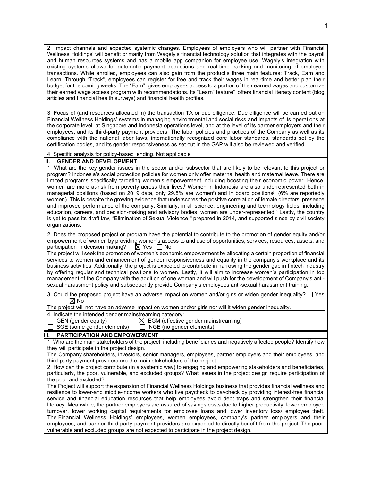2. Impact channels and expected systemic changes. Employees of employers who will partner with Financial Wellness Holdings' will benefit primarily from Wagely's financial technology solution that integrates with the payroll and human resources systems and has a mobile app companion for employee use. Wagely's integration with existing systems allows for automatic payment deductions and real-time tracking and monitoring of employee transactions. While enrolled, employees can also gain from the product's three main features: Track, Earn and Learn. Through "Track", employees can register for free and track their wages in real-time and better plan their budget for the coming weeks. The "Earn" gives employees access to a portion of their earned wages and customize their earned wage access program with recommendations. Its "Learn" feature" offers financial literacy content (blog articles and financial health surveys) and financial health profiles.

3. Focus of (and resources allocated in) the transaction TA or due diligence. Due diligence will be carried out on Financial Wellness Holdings' systems in managing environmental and social risks and impacts of its operations at the corporate level, at Singapore and Indonesia operations level, and at the level of its partner employers and their employees, and its third-party payment providers. The labor policies and practices of the Company as well as its compliance with the national labor laws, internationally recognized core labor standards, standards set by the certification bodies, and its gender responsiveness as set out in the GAP will also be reviewed and verified.

4. Specific analysis for policy-based lending. Not applicable

#### **II. GENDER AND DEVELOPMENT**

1. What are the key gender issues in the sector and/or subsector that are likely to be relevant to this project or program? Indonesia's social protection policies for women only offer maternal health and maternal leave. There are limited programs specifically targeting women's empowerment including boosting their economic power. Hence, women are more at-risk from poverty across their lives.<sup>h</sup> Women in Indonesia are also underrepresented both in managerial positions (based on 2019 data, only 29.8% are women<sup>i</sup>) and in board positions<sup>j</sup> (6% are reportedly women). This is despite the growing evidence that underscores the positive correlation of female directors' presence and improved performance of the company. Similarly, in all science, engineering and technology fields, including education, careers, and decision-making and advisory bodies, women are under-represented.<sup>k</sup> Lastly, the country is yet to pass its draft law, "Elimination of Sexual Violence," prepared in 2014, and supported since by civil society organizations.

2. Does the proposed project or program have the potential to contribute to the promotion of gender equity and/or empowerment of women by providing women's access to and use of opportunities, services, resources, assets, and participation in decision making?  $\boxtimes$  Yes  $\Box$  No participation in decision making?

The project will seek the promotion of women's economic empowerment by allocating a certain proportion of financial services to women and enhancement of gender responsiveness and equality in the company's workplace and its business activities. Additionally, the project is expected to contribute in narrowing the gender gap in fintech industry by offering regular and technical positions to women. Lastly, it will aim to increase women's participation in top management of the Company with the addition of one woman and will push for the development of Company's antisexual harassment policy and subsequently provide Company's employees anti-sexual harassment training.

3. Could the proposed project have an adverse impact on women and/or girls or widen gender inequality?  $\Box$  Yes  $\boxtimes$  No

The project will not have an adverse impact on women and/or girls nor will it widen gender inequality.

4. Indicate the intended gender mainstreaming category:

| $\Box$ GEN (gender equity)        | $\boxtimes$ EGM (effective gender mainstreaming) |
|-----------------------------------|--------------------------------------------------|
| $\Box$ SGE (some gender elements) | $\Box$ NGE (no gender elements)                  |

#### **PARTICIPATION AND EMPOWERMENT**

1. Who are the main stakeholders of the project, including beneficiaries and negatively affected people? Identify how they will participate in the project design.

The Company shareholders, investors, senior managers, employees, partner employers and their employees, and third-party payment providers are the main stakeholders of the project.

2. How can the project contribute (in a systemic way) to engaging and empowering stakeholders and beneficiaries, particularly, the poor, vulnerable, and excluded groups? What issues in the project design require participation of the poor and excluded?

The Project will support the expansion of Financial Wellness Holdings business that provides financial wellness and resilience to lower-and middle-income workers who live paycheck to paycheck by providing interest-free financial service and financial education resources that help employees avoid debt traps and strengthen their financial literacy. Meanwhile, the partner employers are assured of savings costs due to higher productivity, lower employee turnover, lower working capital requirements for employee loans and lower inventory loss/ employee theft. The Financial Wellness Holdings' employees, women employees, company's partner employers and their employees, and partner third-party payment providers are expected to directly benefit from the project. The poor, vulnerable and excluded groups are not expected to participate in the project design.